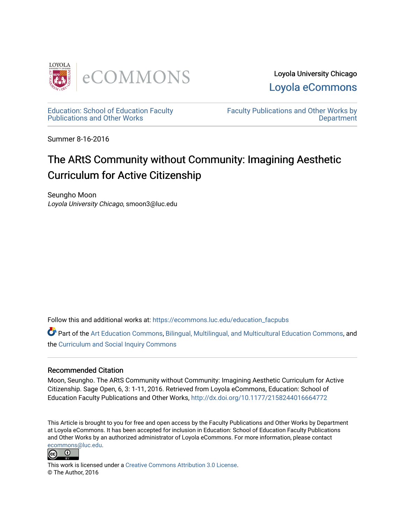

Loyola University Chicago [Loyola eCommons](https://ecommons.luc.edu/) 

[Education: School of Education Faculty](https://ecommons.luc.edu/education_facpubs)  [Publications and Other Works](https://ecommons.luc.edu/education_facpubs) 

[Faculty Publications and Other Works by](https://ecommons.luc.edu/faculty)  **Department** 

Summer 8-16-2016

# The ARtS Community without Community: Imagining Aesthetic Curriculum for Active Citizenship

Seungho Moon Loyola University Chicago, smoon3@luc.edu

Follow this and additional works at: [https://ecommons.luc.edu/education\\_facpubs](https://ecommons.luc.edu/education_facpubs?utm_source=ecommons.luc.edu%2Feducation_facpubs%2F78&utm_medium=PDF&utm_campaign=PDFCoverPages) 

Part of the [Art Education Commons](http://network.bepress.com/hgg/discipline/1149?utm_source=ecommons.luc.edu%2Feducation_facpubs%2F78&utm_medium=PDF&utm_campaign=PDFCoverPages), [Bilingual, Multilingual, and Multicultural Education Commons,](http://network.bepress.com/hgg/discipline/785?utm_source=ecommons.luc.edu%2Feducation_facpubs%2F78&utm_medium=PDF&utm_campaign=PDFCoverPages) and the [Curriculum and Social Inquiry Commons](http://network.bepress.com/hgg/discipline/1038?utm_source=ecommons.luc.edu%2Feducation_facpubs%2F78&utm_medium=PDF&utm_campaign=PDFCoverPages)

## Recommended Citation

Moon, Seungho. The ARtS Community without Community: Imagining Aesthetic Curriculum for Active Citizenship. Sage Open, 6, 3: 1-11, 2016. Retrieved from Loyola eCommons, Education: School of Education Faculty Publications and Other Works,<http://dx.doi.org/10.1177/2158244016664772>

This Article is brought to you for free and open access by the Faculty Publications and Other Works by Department at Loyola eCommons. It has been accepted for inclusion in Education: School of Education Faculty Publications and Other Works by an authorized administrator of Loyola eCommons. For more information, please contact [ecommons@luc.edu](mailto:ecommons@luc.edu).



This work is licensed under a [Creative Commons Attribution 3.0 License](https://creativecommons.org/licenses/by/3.0/). © The Author, 2016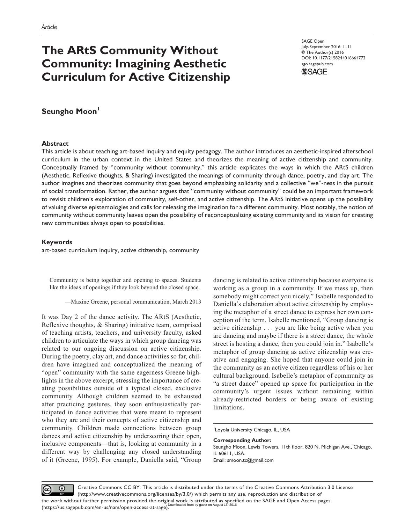# **The ARtS Community Without Community: Imagining Aesthetic Curriculum for Active Citizenship**

SAGE Open July-September 2016: 1–11 © The Author(s) 2016 DOI: 10.1177/2158244016664772 sgo.sagepub.com



## Seungho Moon<sup>1</sup>

## **Abstract**

This article is about teaching art-based inquiry and equity pedagogy. The author introduces an aesthetic-inspired afterschool curriculum in the urban context in the United States and theorizes the meaning of active citizenship and community. Conceptually framed by "community without community," this article explicates the ways in which the ARtS children (Aesthetic, Reflexive thoughts, & Sharing) investigated the meanings of community through dance, poetry, and clay art. The author imagines and theorizes community that goes beyond emphasizing solidarity and a collective "we"-ness in the pursuit of social transformation. Rather, the author argues that "community without community" could be an important framework to revisit children's exploration of community, self-other, and active citizenship. The ARtS initiative opens up the possibility of valuing diverse epistemologies and calls for releasing the imagination for a different community. Most notably, the notion of community without community leaves open the possibility of reconceptualizing existing community and its vision for creating new communities always open to possibilities.

#### **Keywords**

art-based curriculum inquiry, active citizenship, community

Community is being together and opening to spaces. Students like the ideas of openings if they look beyond the closed space.

—Maxine Greene, personal communication, March 2013

It was Day 2 of the dance activity. The ARtS (Aesthetic, Reflexive thoughts, & Sharing) initiative team, comprised of teaching artists, teachers, and university faculty, asked children to articulate the ways in which group dancing was related to our ongoing discussion on active citizenship. During the poetry, clay art, and dance activities so far, children have imagined and conceptualized the meaning of "open" community with the same eagerness Greene highlights in the above excerpt, stressing the importance of creating possibilities outside of a typical closed, exclusive community. Although children seemed to be exhausted after practicing gestures, they soon enthusiastically participated in dance activities that were meant to represent who they are and their concepts of active citizenship and community. Children made connections between group dances and active citizenship by underscoring their open, inclusive components—that is, looking at community in a different way by challenging any closed understanding of it (Greene, 1995). For example, Daniella said, "Group dancing is related to active citizenship because everyone is working as a group in a community. If we mess up, then somebody might correct you nicely." Isabelle responded to Daniella's elaboration about active citizenship by employing the metaphor of a street dance to express her own conception of the term. Isabelle mentioned, "Group dancing is active citizenship . . . you are like being active when you are dancing and maybe if there is a street dance, the whole street is hosting a dance, then you could join in." Isabelle's metaphor of group dancing as active citizenship was creative and engaging. She hoped that anyone could join in the community as an active citizen regardless of his or her cultural background. Isabelle's metaphor of community as "a street dance" opened up space for participation in the community's urgent issues without remaining within already-restricted borders or being aware of existing limitations.

#### **Corresponding Author:**

Seungho Moon, Lewis Towers, 11th floor, 820 N. Michigan Ave., Chicago, IL 60611, USA. Email: [smoon.tc@gmail.com](mailto:smoon.tc@gmail.com)

Creative Commons CC-BY: This article is distributed under the terms of the Creative Commons Attribution 3.0 License  $\odot$ (cc) (http://www.creativecommons.org/licenses/by/3.0/) which permits any use, reproduction and distribution of the work without further permission provided the original work is attributed as specified on the SAGE and Open Access pages<br>(bownloaded from by guest on August 16, 2016) (https://us.sagepub.com/en-us/nam/open-access-at-sage).

Loyola University Chicago, IL, USA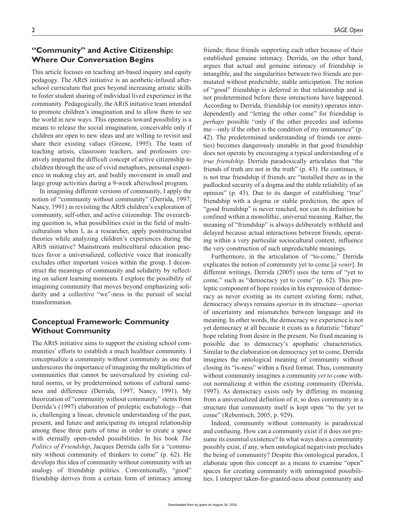# **"Community" and Active Citizenship: Where Our Conversation Begins**

This article focuses on teaching art-based inquiry and equity pedagogy. The ARtS initiative is an aesthetic-infused afterschool curriculum that goes beyond increasing artistic skills to foster student sharing of individual lived experience in the community. Pedagogically, the ARtS initiative team intended to promote children's imagination and to allow them to see the world in new ways. This openness toward possibility is a means to release the social imagination, conceivable only if children are open to new ideas and are willing to revisit and share their existing values (Greene, 1995). The team of teaching artists, classroom teachers, and professors creatively imparted the difficult concept of active citizenship to children through the use of vivid metaphors, personal experience in making clay art, and bodily movement in small and large group activities during a 9-week afterschool program.

In imagining different versions of community, I apply the notion of "community without community" (Derrida, 1997; Nancy, 1991) in revisiting the ARtS children's exploration of community, self-other, and active citizenship. The overarching question is, what possibilities exist in the field of multiculturalism when I, as a researcher, apply poststructuralist theories while analyzing children's experiences during the ARtS initiative? Mainstream multicultural education practices favor a universalized, collective voice that ironically excludes other important voices within the group. I deconstruct the meanings of community and solidarity by reflecting on salient learning moments. I explore the possibility of imagining community that moves beyond emphasizing solidarity and a collective "we"-ness in the pursuit of social transformation.

## **Conceptual Framework: Community Without Community**

The ARtS initiative aims to support the existing school communities' efforts to establish a much healthier community. I conceptualize a community without community as one that underscores the importance of imagining the multiplicities of communities that cannot be universalized by existing cultural norms, or by predetermined notions of cultural sameness and difference (Derrida, 1997, Nancy, 1991). My theorization of "community without community" stems from Derrida's (1997) elaboration of proleptic eschatology—that is, challenging a linear, chronicle understanding of the past, present, and future and anticipating its integral relationship among these three parts of time in order to create a space with eternally open-ended possibilities. In his book *The Politics of Friendship*, Jacques Derrida calls for a "community without community of thinkers to come" (p. 62). He develops this idea of community without community with an analogy of friendship politics. Conventionally, "good" friendship derives from a certain form of intimacy among

friends; these friends supporting each other because of their established genuine intimacy. Derrida, on the other hand, argues that actual and genuine intimacy of friendship is intangible, and the singularities between two friends are permutated without predictable, stable anticipation. The notion of "good" friendship is deferred in that relationship and is not predetermined before these interactions have happened. According to Derrida, friendship (or enmity) operates interdependently and "letting the other come" for friendship is *perhaps* possible "only if the other precedes and informs me—only if the other is the condition of my immanence" (p. 42). The predetermined understanding of friends (or enmities) becomes dangerously unstable in that good friendship does not operate by encouraging a typical understanding of a *true friendship*. Derrida paradoxically articulates that "the friends of truth are not in the truth" (p. 43). He continues, it is not true friendship if friends are "installed there as in the padlocked security of a dogma and the stable reliability of an opinion" (p. 43). Due to its danger of establishing "true" friendship with a dogma or stable prediction, the apex of "good friendship" is never reached, nor can its definition be confined within a monolithic, universal meaning. Rather, the meaning of "friendship" is always deliberately withheld and delayed because actual interactions between friends, operating within a very particular sociocultural context, influence the very construction of such unpredictable meanings.

Furthermore, in the articulation of "to-come," Derrida explicates the notion of community yet to come [*à venir*]. In different writings, Derrida (2005) uses the term of "yet to come," such as "democracy yet to come" (p. 62). This proleptic component of hope resides in his expression of democracy as never existing as its current existing form; rather, democracy always remains *aporias* in its structure—*aporias* of uncertainty and mismatches between language and its meaning. In other words, the democracy we experience is not yet democracy at all because it exists as a futuristic "future" hope relating from desire in the present. No fixed meaning is possible due to democracy's apophatic characteristics. Similar to the elaboration on democracy yet to come, Derrida imagines the ontological meaning of community without closing its "is-ness" within a fixed format. Thus, community without community imagines a community *yet to come* without normalizing it within the existing community (Derrida, 1997). As democracy exists only by differing its meaning from a universalized definition of it, so does community in a structure that community itself is kept open "to the yet to come" (Rebentisch, 2005, p. 929).

Indeed, community without community is paradoxical and confusing. How can a community exist if it does not presume its essential existence? In what ways does a community possibly exist, if any, when ontological negativism precludes the being of community? Despite this ontological paradox, I elaborate upon this concept as a means to examine "open" spaces for creating community with unimagined possibilities. I interpret taken-for-granted-ness about community and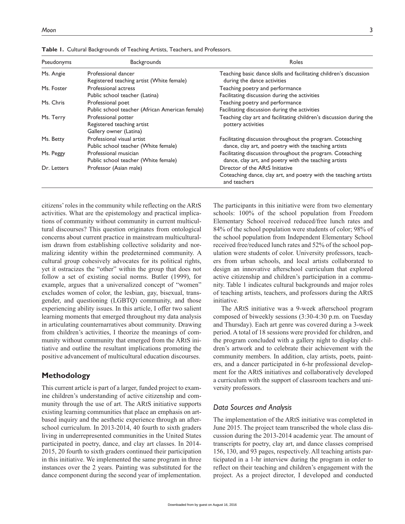| Pseudonyms  | <b>Backgrounds</b>                                                          | Roles                                                                                                               |
|-------------|-----------------------------------------------------------------------------|---------------------------------------------------------------------------------------------------------------------|
| Ms. Angie   | Professional dancer<br>Registered teaching artist (White female)            | Teaching basic dance skills and facilitating children's discussion<br>during the dance activities                   |
| Ms. Foster  | Professional actress<br>Public school teacher (Latina)                      | Teaching poetry and performance<br>Facilitating discussion during the activities                                    |
| Ms. Chris   | Professional poet<br>Public school teacher (African American female)        | Teaching poetry and performance<br>Facilitating discussion during the activities                                    |
| Ms. Terry   | Professional potter<br>Registered teaching artist<br>Gallery owner (Latina) | Teaching clay art and facilitating children's discussion during the<br>pottery activities                           |
| Ms. Betty   | Professional visual artist<br>Public school teacher (White female)          | Facilitating discussion throughout the program. Coteaching<br>dance, clay art, and poetry with the teaching artists |
| Ms. Peggy   | Professional musician<br>Public school teacher (White female)               | Facilitating discussion throughout the program. Coteaching<br>dance, clay art, and poetry with the teaching artists |
| Dr. Letters | Professor (Asian male)                                                      | Director of the ARtS Initiative<br>Coteaching dance, clay art, and poetry with the teaching artists<br>and teachers |

**Table 1.** Cultural Backgrounds of Teaching Artists, Teachers, and Professors.

citizens' roles in the community while reflecting on the ARtS activities. What are the epistemology and practical implications of community without community in current multicultural discourses? This question originates from ontological concerns about current practice in mainstream multiculturalism drawn from establishing collective solidarity and normalizing identity within the predetermined community. A cultural group cohesively advocates for its political rights, yet it ostracizes the "other" within the group that does not follow a set of existing social norms. Butler (1999), for example, argues that a universalized concept of "women" excludes women of color, the lesbian, gay, bisexual, transgender, and questioning (LGBTQ) community, and those experiencing ability issues. In this article, I offer two salient learning moments that emerged throughout my data analysis in articulating counternarratives about community. Drawing from children's activities, I theorize the meanings of community without community that emerged from the ARtS initiative and outline the resultant implications promoting the positive advancement of multicultural education discourses.

## **Methodology**

This current article is part of a larger, funded project to examine children's understanding of active citizenship and community through the use of art. The ARtS initiative supports existing learning communities that place an emphasis on artbased inquiry and the aesthetic experience through an afterschool curriculum. In 2013-2014, 40 fourth to sixth graders living in underrepresented communities in the United States participated in poetry, dance, and clay art classes. In 2014- 2015, 20 fourth to sixth graders continued their participation in this initiative. We implemented the same program in three instances over the 2 years. Painting was substituted for the dance component during the second year of implementation.

The participants in this initiative were from two elementary schools: 100% of the school population from Freedom Elementary School received reduced/free lunch rates and 84% of the school population were students of color; 98% of the school population from Independent Elementary School received free/reduced lunch rates and 52% of the school population were students of color. University professors, teachers from urban schools, and local artists collaborated to design an innovative afterschool curriculum that explored active citizenship and children's participation in a community. Table 1 indicates cultural backgrounds and major roles of teaching artists, teachers, and professors during the ARtS initiative.

The ARtS initiative was a 9-week afterschool program composed of biweekly sessions (3:30-4:30 p.m. on Tuesday and Thursday). Each art genre was covered during a 3-week period. A total of 18 sessions were provided for children, and the program concluded with a gallery night to display children's artwork and to celebrate their achievement with the community members. In addition, clay artists, poets, painters, and a dancer participated in 6-hr professional development for the ARtS initiatives and collaboratively developed a curriculum with the support of classroom teachers and university professors.

## *Data Sources and Analysis*

The implementation of the ARtS initiative was completed in June 2015. The project team transcribed the whole class discussion during the 2013-2014 academic year. The amount of transcripts for poetry, clay art, and dance classes comprised 156, 130, and 93 pages, respectively. All teaching artists participated in a 1-hr interview during the program in order to reflect on their teaching and children's engagement with the project. As a project director, I developed and conducted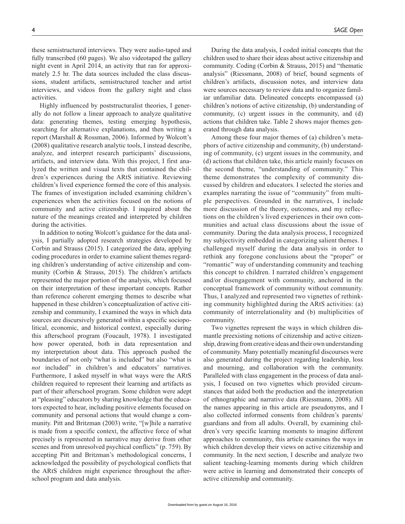these semistructured interviews. They were audio-taped and fully transcribed (60 pages). We also videotaped the gallery night event in April 2014, an activity that ran for approximately 2.5 hr. The data sources included the class discussions, student artifacts, semistructured teacher and artist interviews, and videos from the gallery night and class activities.

Highly influenced by poststructuralist theories, I generally do not follow a linear approach to analyze qualitative data: generating themes, testing emerging hypothesis, searching for alternative explanations, and then writing a report (Marshall & Rossman, 2006). Informed by Wolcott's (2008) qualitative research analytic tools, I instead describe, analyze, and interpret research participants' discussions, artifacts, and interview data. With this project, I first analyzed the written and visual texts that contained the children's experiences during the ARtS initiative. Reviewing children's lived experience formed the core of this analysis. The frames of investigation included examining children's experiences when the activities focused on the notions of community and active citizenship. I inquired about the nature of the meanings created and interpreted by children during the activities.

In addition to noting Wolcott's guidance for the data analysis, I partially adopted research strategies developed by Corbin and Strauss (2015). I categorized the data, applying coding procedures in order to examine salient themes regarding children's understanding of active citizenship and community (Corbin & Strauss, 2015). The children's artifacts represented the major portion of the analysis, which focused on their interpretation of these important concepts. Rather than reference coherent emerging themes to describe what happened in these children's conceptualization of active citizenship and community, I examined the ways in which data sources are discursively generated within a specific sociopolitical, economic, and historical context, especially during this afterschool program (Foucault, 1978). I investigated how power operated, both in data representation and my interpretation about data. This approach pushed the boundaries of not only "what is included" but also "what is *not* included" in children's and educators' narratives. Furthermore, I asked myself in what ways were the ARtS children required to represent their learning and artifacts as part of their afterschool program. Some children were adept at "pleasing" educators by sharing knowledge that the educators expected to hear, including positive elements focused on community and personal actions that would change a community. Pitt and Britzman (2003) write, "[w]hile a narrative is made from a specific context, the affective force of what precisely is represented in narrative may derive from other scenes and from unresolved psychical conflicts" (p. 759). By accepting Pitt and Britzman's methodological concerns, I acknowledged the possibility of psychological conflicts that the ARtS children might experience throughout the afterschool program and data analysis.

During the data analysis, I coded initial concepts that the children used to share their ideas about active citizenship and community. Coding (Corbin & Strauss, 2015) and "thematic analysis" (Riessmann, 2008) of brief, bound segments of children's artifacts, discussion notes, and interview data were sources necessary to review data and to organize familiar unfamiliar data. Delineated concepts encompassed (a) children's notions of active citizenship, (b) understanding of community, (c) urgent issues in the community, and (d) actions that children take. Table 2 shows major themes generated through data analysis.

Among these four major themes of (a) children's metaphors of active citizenship and community, (b) understanding of community, (c) urgent issues in the community, and (d) actions that children take, this article mainly focuses on the second theme, "understanding of community." This theme demonstrates the complexity of community discussed by children and educators. I selected the stories and examples narrating the issue of "community" from multiple perspectives. Grounded in the narratives, I include more discussion of the theory, outcomes, and my reflections on the children's lived experiences in their own communities and actual class discussions about the issue of community. During the data analysis process, I recognized my subjectivity embedded in categorizing salient themes. I challenged myself during the data analysis in order to rethink any foregone conclusions about the "proper" or "romantic" way of understanding community and teaching this concept to children. I narrated children's engagement and/or disengagement with community, anchored in the conceptual framework of community without community. Thus, I analyzed and represented two vignettes of rethinking community highlighted during the ARtS activities: (a) community of interrelationality and (b) multiplicities of community.

Two vignettes represent the ways in which children dismantle preexisting notions of citizenship and active citizenship, drawing from creative ideas and their own understanding of community. Many potentially meaningful discourses were also generated during the project regarding leadership, loss and mourning, and collaboration with the community. Paralleled with class engagement in the process of data analysis, I focused on two vignettes which provided circumstances that aided both the production and the interpretation of ethnographic and narrative data (Riessmann, 2008). All the names appearing in this article are pseudonyms, and I also collected informed consents from children's parents/ guardians and from all adults. Overall, by examining children's very specific learning moments to imagine different approaches to community, this article examines the ways in which children develop their views on active citizenship and community. In the next section, I describe and analyze two salient teaching-learning moments during which children were active in learning and demonstrated their concepts of active citizenship and community.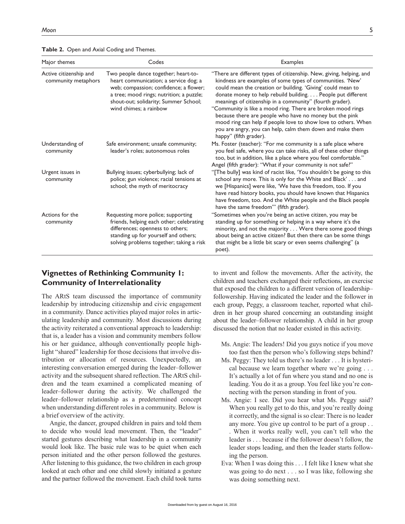| Major themes                                  | Codes                                                                                                                                                                                                                                  | Examples                                                                                                                                                                                                                                                                                                                                                                                                                                                                                                                                                                                                       |
|-----------------------------------------------|----------------------------------------------------------------------------------------------------------------------------------------------------------------------------------------------------------------------------------------|----------------------------------------------------------------------------------------------------------------------------------------------------------------------------------------------------------------------------------------------------------------------------------------------------------------------------------------------------------------------------------------------------------------------------------------------------------------------------------------------------------------------------------------------------------------------------------------------------------------|
| Active citizenship and<br>community metaphors | Two people dance together; heart-to-<br>heart communication; a service dog; a<br>web; compassion; confidence; a flower;<br>a tree; mood rings; nutrition; a puzzle;<br>shout-out; solidarity; Summer School;<br>wind chimes; a rainbow | "There are different types of citizenship. New, giving, helping, and<br>kindness are examples of some types of communities. 'New'<br>could mean the creation or building. 'Giving' could mean to<br>donate money to help rebuild building. People put different<br>meanings of citizenship in a community" (fourth grader).<br>"Community is like a mood ring. There are broken mood rings<br>because there are people who have no money but the pink<br>mood ring can help if people love to show love to others. When<br>you are angry, you can help, calm them down and make them<br>happy" (fifth grader). |
| Understanding of<br>community                 | Safe environment; unsafe community;<br>leader's roles; autonomous roles                                                                                                                                                                | Ms. Foster (teacher): "For me community is a safe place where<br>you feel safe, where you can take risks, all of these other things<br>too, but in addition, like a place where you feel comfortable."<br>Angel (fifth grader): "What if your community is not safe?"                                                                                                                                                                                                                                                                                                                                          |
| Urgent issues in<br>community                 | Bullying issues; cyberbullying; lack of<br>police; gun violence; racial tensions at<br>school; the myth of meritocracy                                                                                                                 | "[The bully] was kind of racist like, 'You shouldn't be going to this<br>school any more. This is only for the White and Black' and<br>we [Hispanics] were like, 'We have this freedom, too. If you<br>have read history books, you should have known that Hispanics<br>have freedom, too. And the White people and the Black people<br>have the same freedom"' (fifth grader).                                                                                                                                                                                                                                |
| Actions for the<br>community                  | Requesting more police; supporting<br>friends, helping each other; celebrating<br>differences; openness to others;<br>standing up for yourself and others;<br>solving problems together; taking a risk                                 | "Sometimes when you're being an active citizen, you may be<br>standing up for something or helping in a way where it's the<br>minority, and not the majority Were there some good things<br>about being an active citizen? But then there can be some things<br>that might be a little bit scary or even seems challenging" (a<br>poet).                                                                                                                                                                                                                                                                       |

**Table 2.** Open and Axial Coding and Themes.

# **Vignettes of Rethinking Community 1: Community of Interrelationality**

The ARtS team discussed the importance of community leadership by introducing citizenship and civic engagement in a community. Dance activities played major roles in articulating leadership and community. Most discussions during the activity reiterated a conventional approach to leadership: that is, a leader has a vision and community members follow his or her guidance, although conventionally people highlight "shared" leadership for those decisions that involve distribution or allocation of resources. Unexpectedly, an interesting conversation emerged during the leader–follower activity and the subsequent shared reflection. The ARtS children and the team examined a complicated meaning of leader–follower during the activity. We challenged the leader–follower relationship as a predetermined concept when understanding different roles in a community. Below is a brief overview of the activity.

Angie, the dancer, grouped children in pairs and told them to decide who would lead movement. Then, the "leader" started gestures describing what leadership in a community would look like. The basic rule was to be quiet when each person initiated and the other person followed the gestures. After listening to this guidance, the two children in each group looked at each other and one child slowly initiated a gesture and the partner followed the movement. Each child took turns

to invent and follow the movements. After the activity, the children and teachers exchanged their reflections, an exercise that exposed the children to a different version of leadership– followership. Having indicated the leader and the follower in each group, Peggy, a classroom teacher, reported what children in her group shared concerning an outstanding insight about the leader–follower relationship. A child in her group discussed the notion that no leader existed in this activity.

- Ms. Angie: The leaders! Did you guys notice if you move too fast then the person who's following steps behind?
- Ms. Peggy: They told us there's no leader . . . It is hysterical because we learn together where we're going . . . It's actually a lot of fun where you stand and no one is leading. You do it as a group. You feel like you're connecting with the person standing in front of you.
- Ms. Angie: I see. Did you hear what Ms. Peggy said? When you really get to do this, and you're really doing it correctly, and the signal is so clear: There is no leader any more. You give up control to be part of a group . .
- . When it works really well, you can't tell who the leader is . . . because if the follower doesn't follow, the leader stops leading, and then the leader starts following the person.
- Eva: When I was doing this . . . I felt like I knew what she was going to do next . . . so I was like, following she was doing something next.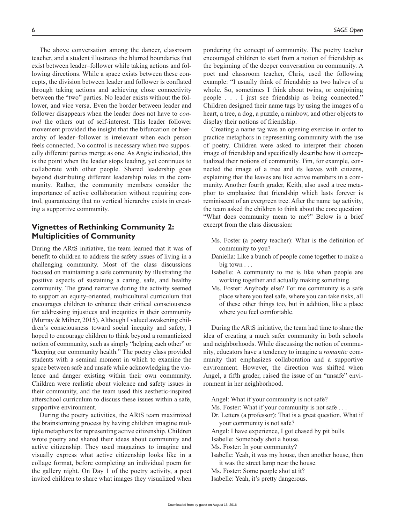The above conversation among the dancer, classroom teacher, and a student illustrates the blurred boundaries that exist between leader–follower while taking actions and following directions. While a space exists between these concepts, the division between leader and follower is conflated through taking actions and achieving close connectivity between the "two" parties. No leader exists without the follower, and vice versa. Even the border between leader and follower disappears when the leader does not have to *control* the others out of self-interest. This leader–follower movement provided the insight that the bifurcation or hierarchy of leader–follower is irrelevant when each person feels connected. No control is necessary when two supposedly different parties merge as one. As Angie indicated, this is the point when the leader stops leading, yet continues to collaborate with other people. Shared leadership goes beyond distributing different leadership roles in the community. Rather, the community members consider the importance of active collaboration without requiring control, guaranteeing that no vertical hierarchy exists in creating a supportive community.

## **Vignettes of Rethinking Community 2: Multiplicities of Community**

During the ARtS initiative, the team learned that it was of benefit to children to address the safety issues of living in a challenging community. Most of the class discussions focused on maintaining a safe community by illustrating the positive aspects of sustaining a caring, safe, and healthy community. The grand narrative during the activity seemed to support an equity-oriented, multicultural curriculum that encourages children to enhance their critical consciousness for addressing injustices and inequities in their community (Murray & Milner, 2015). Although I valued awakening children's consciousness toward social inequity and safety, I hoped to encourage children to think beyond a romanticized notion of community, such as simply "helping each other" or "keeping our community health." The poetry class provided students with a seminal moment in which to examine the space between safe and unsafe while acknowledging the violence and danger existing within their own community. Children were realistic about violence and safety issues in their community, and the team used this aesthetic-inspired afterschool curriculum to discuss these issues within a safe, supportive environment.

During the poetry activities, the ARtS team maximized the brainstorming process by having children imagine multiple metaphors for representing active citizenship. Children wrote poetry and shared their ideas about community and active citizenship. They used magazines to imagine and visually express what active citizenship looks like in a collage format, before completing an individual poem for the gallery night. On Day 1 of the poetry activity, a poet invited children to share what images they visualized when

pondering the concept of community. The poetry teacher encouraged children to start from a notion of friendship as the beginning of the deeper conversation on community. A poet and classroom teacher, Chris, used the following example: "I usually think of friendship as two halves of a whole. So, sometimes I think about twins, or conjoining people . . . I just see friendship as being connected." Children designed their name tags by using the images of a heart, a tree, a dog, a puzzle, a rainbow, and other objects to display their notions of friendship.

Creating a name tag was an opening exercise in order to practice metaphors in representing community with the use of poetry. Children were asked to interpret their chosen image of friendship and specifically describe how it conceptualized their notions of community. Tim, for example, connected the image of a tree and its leaves with citizens, explaining that the leaves are like active members in a community. Another fourth grader, Keith, also used a tree metaphor to emphasize that friendship which lasts forever is reminiscent of an evergreen tree. After the name tag activity, the team asked the children to think about the core question: "What does community mean to me?" Below is a brief excerpt from the class discussion:

- Ms. Foster (a poetry teacher): What is the definition of community to you?
- Daniella: Like a bunch of people come together to make a big town . . .
- Isabelle: A community to me is like when people are working together and actually making something.
- Ms. Foster: Anybody else? For me community is a safe place where you feel safe, where you can take risks, all of these other things too, but in addition, like a place where you feel comfortable.

During the ARtS initiative, the team had time to share the idea of creating a much safer community in both schools and neighborhoods. While discussing the notion of community, educators have a tendency to imagine a *romantic* community that emphasizes collaboration and a supportive environment. However, the direction was shifted when Angel, a fifth grader, raised the issue of an "unsafe" environment in her neighborhood.

Angel: What if your community is not safe? Ms. Foster: What if your community is not safe . . . Dr. Letters (a professor): That is a great question. What if your community is not safe? Angel: I have experience, I got chased by pit bulls. Isabelle: Somebody shot a house. Ms. Foster: In your community? Isabelle: Yeah, it was my house, then another house, then it was the street lamp near the house. Ms. Foster: Some people shot at it? Isabelle: Yeah, it's pretty dangerous.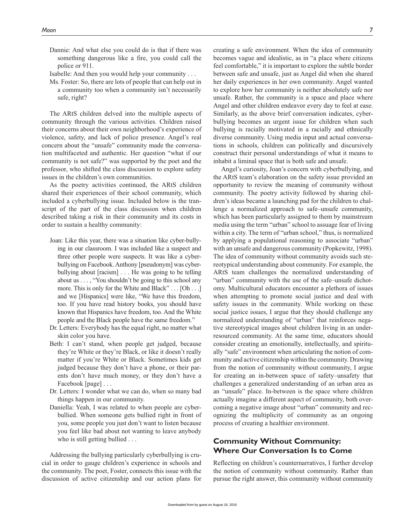- Dannie: And what else you could do is that if there was something dangerous like a fire, you could call the police or 911.
- Isabelle: And then you would help your community . . .
- Ms. Foster: So, there are lots of people that can help out in a community too when a community isn't necessarily safe, right?

The ARtS children delved into the multiple aspects of community through the various activities. Children raised their concerns about their own neighborhood's experience of violence, safety, and lack of police presence. Angel's real concern about the "unsafe" community made the conversation multifaceted and authentic. Her question "what if our community is not safe?" was supported by the poet and the professor, who shifted the class discussion to explore safety issues in the children's own communities.

As the poetry activities continued, the ARtS children shared their experiences of their school community, which included a cyberbullying issue. Included below is the transcript of the part of the class discussion when children described taking a risk in their community and its costs in order to sustain a healthy community:

- Joan: Like this year, there was a situation like cyber-bullying in our classroom. I was included like a suspect and three other people were suspects. It was like a cyberbullying on Facebook. Anthony [pseudonym] was cyberbullying about [racism] . . . He was going to be telling about us . . . , "You shouldn't be going to this school any more. This is only for the White and Black"... [Oh...] and we [Hispanics] were like, "We have this freedom, too. If you have read history books, you should have known that Hispanics have freedom, too. And the White people and the Black people have the same freedom."
- Dr. Letters: Everybody has the equal right, no matter what skin color you have.
- Beth: I can't stand, when people get judged, because they're White or they're Black, or like it doesn't really matter if you're White or Black. Sometimes kids get judged because they don't have a phone, or their parents don't have much money, or they don't have a Facebook [page] . . .
- Dr. Letters: I wonder what we can do, when so many bad things happen in our community.
- Daniella: Yeah, I was related to when people are cyberbullied. When someone gets bullied right in front of you, some people you just don't want to listen because you feel like bad about not wanting to leave anybody who is still getting bullied . . .

Addressing the bullying particularly cyberbullying is crucial in order to gauge children's experience in schools and the community. The poet, Foster, connects this issue with the discussion of active citizenship and our action plans for

creating a safe environment. When the idea of community becomes vague and idealistic, as in "a place where citizens feel comfortable," it is important to explore the subtle border between safe and unsafe, just as Angel did when she shared her daily experiences in her own community. Angel wanted to explore how her community is neither absolutely safe nor unsafe. Rather, the community is a space and place where Angel and other children endeavor every day to feel at ease. Similarly, as the above brief conversation indicates, cyberbullying becomes an urgent issue for children when such bullying is racially motivated in a racially and ethnically diverse community. Using media input and actual conversations in schools, children can politically and discursively construct their personal understandings of what it means to inhabit a liminal space that is both safe and unsafe.

Angel's curiosity, Joan's concern with cyberbullying, and the ARtS team's elaboration on the safety issue provided an opportunity to review the meaning of community without community. The poetry activity followed by sharing children's ideas became a launching pad for the children to challenge a normalized approach to safe–unsafe community, which has been particularly assigned to them by mainstream media using the term "urban" school to assuage fear of living within a city. The term of "urban school," thus, is normalized by applying a populational reasoning to associate "urban" with an unsafe and dangerous community (Popkewitz, 1998). The idea of community without community avoids such stereotypical understanding about community. For example, the ARtS team challenges the normalized understanding of "urban" community with the use of the safe–unsafe dichotomy. Multicultural educators encounter a plethora of issues when attempting to promote social justice and deal with safety issues in the community. While working on these social justice issues, I argue that they should challenge any normalized understanding of "urban" that reinforces negative stereotypical images about children living in an underresourced community. At the same time, educators should consider creating an emotionally, intellectually, and spiritually "safe" environment when articulating the notion of community and active citizenship within the community. Drawing from the notion of community without community, I argue for creating an in-between space of safety–unsafety that challenges a generalized understanding of an urban area as an "unsafe" place. In-between is the space where children actually imagine a different aspect of community, both overcoming a negative image about "urban" community and recognizing the multiplicity of community as an ongoing process of creating a healthier environment.

## **Community Without Community: Where Our Conversation Is to Come**

Reflecting on children's counternarratives, I further develop the notion of community without community. Rather than pursue the right answer, this community without community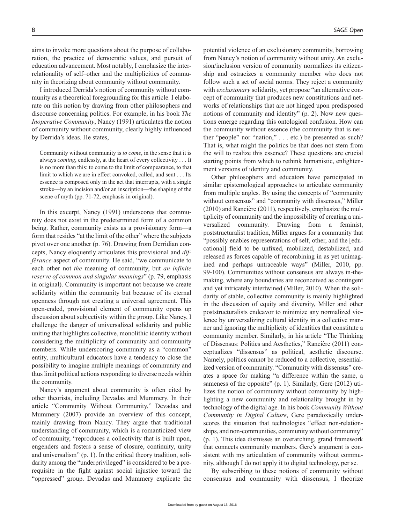aims to invoke more questions about the purpose of collaboration, the practice of democratic values, and pursuit of education advancement. Most notably, I emphasize the interrelationality of self–other and the multiplicities of community in theorizing about community without community.

I introduced Derrida's notion of community without community as a theoretical foregrounding for this article. I elaborate on this notion by drawing from other philosophers and discourse concerning politics. For example, in his book *The Inoperative Community*, Nancy (1991) articulates the notion of community without community, clearly highly influenced by Derrida's ideas. He states,

Community without community is *to come*, in the sense that it is always *coming*, endlessly, at the heart of every collectivity . . . It is no more than this: to come to the limit of compearance, to that limit to which we are in effect convoked, called, and sent . . . Its essence is composed only in the act that interrupts, with a single stroke—by an incision and/or an inscription—the shaping of the scene of myth (pp. 71-72, emphasis in original).

In this excerpt, Nancy (1991) underscores that community does not exist in the predetermined form of a common being. Rather, community exists as a provisionary form—a form that resides "at the limit of the other" where the subjects pivot over one another (p. 76). Drawing from Derridian concepts, Nancy eloquently articulates this provisional and *différance* aspect of community. He said, "we communicate to each other not *the* meaning of community, but *an infinite reserve of common and singular meanings*" (p. 79, emphasis in original). Community is important not because we create solidarity within the community but because of its eternal openness through not creating a universal agreement. This open-ended, provisional element of community opens up discussion about subjectivity within the group. Like Nancy, I challenge the danger of universalized solidarity and public uniting that highlights collective, monolithic identity without considering the multiplicity of community and community members. While underscoring community as a "common" entity, multicultural educators have a tendency to close the possibility to imagine multiple meanings of community and thus limit political actions responding to diverse needs within the community.

Nancy's argument about community is often cited by other theorists, including Devadas and Mummery. In their article "Community Without Community," Devadas and Mummery (2007) provide an overview of this concept, mainly drawing from Nancy. They argue that traditional understanding of community, which is a romanticized view of community, "reproduces a collectivity that is built upon, engenders and fosters a sense of closure, continuity, unity and universalism" (p. 1). In the critical theory tradition, solidarity among the "underprivileged" is considered to be a prerequisite in the fight against social injustice toward the "oppressed" group. Devadas and Mummery explicate the

potential violence of an exclusionary community, borrowing from Nancy's notion of community without unity. An exclusion/inclusion version of community normalizes its citizenship and ostracizes a community member who does not follow such a set of social norms. They reject a community with *exclusionary* solidarity, yet propose "an alternative concept of community that produces new constitutions and networks of relationships that are not hinged upon predisposed notions of community and identity" (p. 2). Now new questions emerge regarding this ontological confusion. How can the community without essence (the community that is neither "people" nor "nation," . . . etc.) be presented as such? That is, what might the politics be that does not stem from the will to realize this essence? These questions are crucial starting points from which to rethink humanistic, enlightenment versions of identity and community.

Other philosophers and educators have participated in similar epistemological approaches to articulate community from multiple angles. By using the concepts of "community without consensus" and "community with dissensus," Miller (2010) and Rancière (2011), respectively, emphasize the multiplicity of community and the impossibility of creating a universalized community. Drawing from a feminist, poststructuralist tradition, Miller argues for a community that "possibly enables representations of self, other, and the [educational] field to be unfixed, mobilized, destabilized, and released as forces capable of recombining in as yet unimagined and perhaps untraceable ways" (Miller, 2010, pp. 99-100). Communities without consensus are always in-themaking, where any boundaries are reconceived as contingent and yet intricately intertwined (Miller, 2010). When the solidarity of stable, collective community is mainly highlighted in the discussion of equity and diversity, Miller and other poststructuralists endeavor to minimize any normalized violence by universalizing cultural identity in a collective manner and ignoring the multiplicity of identities that constitute a community member. Similarly, in his article "The Thinking of Dissensus: Politics and Aesthetics," Rancière (2011) conceptualizes "dissensus" as political, aesthetic discourse. Namely, politics cannot be reduced to a collective, essentialized version of community. "Community with dissensus" creates a space for making "a difference within the same, a sameness of the opposite" (p. 1). Similarly, Gere (2012) utilizes the notion of community without community by highlighting a new community and relationality brought in by technology of the digital age. In his book *Community Without Community in Digital Culture*, Gere paradoxically underscores the situation that technologies "effect non-relationships, and non-communities, community without community" (p. 1). This idea dismisses an overarching, grand framework that connects community members. Gere's argument is consistent with my articulation of community without community, although I do not apply it to digital technology, per se.

By subscribing to these notions of community without consensus and community with dissensus, I theorize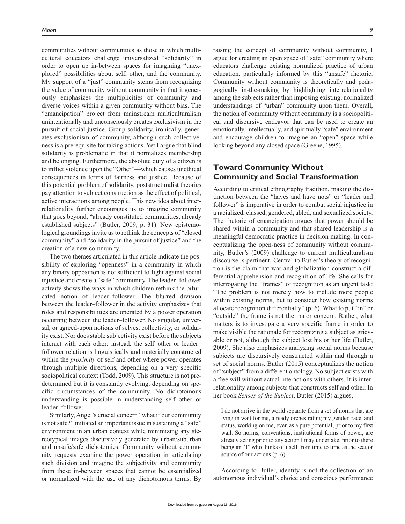communities without communities as those in which multicultural educators challenge universalized "solidarity" in order to open up in-between spaces for imagining "unexplored" possibilities about self, other, and the community. My support of a "just" community stems from recognizing the value of community without community in that it generously emphasizes the multiplicities of community and diverse voices within a given community without bias. The "emancipation" project from mainstream multiculturalism unintentionally and unconsciously creates exclusivism in the pursuit of social justice. Group solidarity, ironically, generates exclusionism of community, although such collectiveness is a prerequisite for taking actions. Yet I argue that blind solidarity is problematic in that it normalizes membership and belonging. Furthermore, the absolute duty of a citizen is to inflict violence upon the "Other"—which causes unethical consequences in terms of fairness and justice. Because of this potential problem of solidarity, poststructuralist theories pay attention to subject construction as the effect of political, active interactions among people. This new idea about interrelationality further encourages us to imagine community that goes beyond, "already constituted communities, already established subjects" (Butler, 2009, p. 31). New epistemological groundings invite us to rethink the concepts of "closed community" and "solidarity in the pursuit of justice" and the creation of a new community.

The two themes articulated in this article indicate the possibility of exploring "openness" in a community in which any binary opposition is not sufficient to fight against social injustice and create a "safe" community. The leader–follower activity shows the ways in which children rethink the bifurcated notion of leader–follower. The blurred division between the leader–follower in the activity emphasizes that roles and responsibilities are operated by a power operation occurring between the leader–follower. No singular, universal, or agreed-upon notions of selves, collectivity, or solidarity exist. Nor does stable subjectivity exist before the subjects interact with each other; instead, the self–other or leader– follower relation is linguistically and materially constructed within the *proximity* of self and other where power operates through multiple directions, depending on a very specific sociopolitical context (Todd, 2009). This structure is not predetermined but it is constantly evolving, depending on specific circumstances of the community. No dichotomous understanding is possible in understanding self–other or leader–follower.

Similarly, Angel's crucial concern "what if our community is not safe?" initiated an important issue in sustaining a "safe" environment in an urban context while minimizing any stereotypical images discursively generated by urban/suburban and unsafe/safe dichotomies. Community without community requests examine the power operation in articulating such division and imagine the subjectivity and community from these in-between spaces that cannot be essentialized or normalized with the use of any dichotomous terms. By raising the concept of community without community, I argue for creating an open space of "safe" community where educators challenge existing normalized practice of urban education, particularly informed by this "unsafe" rhetoric. Community without community is theoretically and pedagogically in-the-making by highlighting interrelationality among the subjects rather than imposing existing, normalized understandings of "urban" community upon them. Overall, the notion of community without community is a sociopolitical and discursive endeavor that can be used to create an emotionally, intellectually, and spiritually "safe" environment and encourage children to imagine an "open" space while looking beyond any closed space (Greene, 1995).

# **Toward Community Without Community and Social Transformation**

According to critical ethnography tradition, making the distinction between the "haves and have nots" or "leader and follower" is imperative in order to combat social injustice in a racialized, classed, gendered, abled, and sexualized society. The rhetoric of emancipation argues that power should be shared within a community and that shared leadership is a meaningful democratic practice in decision making. In conceptualizing the open-ness of community without community, Butler's (2009) challenge to current multiculturalism discourse is pertinent. Central to Butler's theory of recognition is the claim that war and globalization construct a differential apprehension and recognition of life. She calls for interrogating the "frames" of recognition as an urgent task: "The problem is not merely how to include more people within existing norms, but to consider how existing norms allocate recognition differentially" (p. 6). What to put "in" or "outside" the frame is not the major concern. Rather, what matters is to investigate a very specific frame in order to make visible the rationale for recognizing a subject as grievable or not, although the subject lost his or her life (Butler, 2009). She also emphasizes analyzing social norms because subjects are discursively constructed within and through a set of social norms. Butler (2015) conceptualizes the notion of "subject" from a different ontology. No subject exists with a free will without actual interactions with others. It is interrelationality among subjects that constructs self and other. In her book *Senses of the Subject*, Butler (2015) argues,

I do not arrive in the world separate from a set of norms that are lying in wait for me, already orchestrating my gender, race, and status, working on me, even as a pure potential, prior to my first wail. So norms, conventions, institutional forms of power, are already acting prior to any action I may undertake, prior to there being an "I" who thinks of itself from time to time as the seat or source of our actions (p. 6).

According to Butler, identity is not the collection of an autonomous individual's choice and conscious performance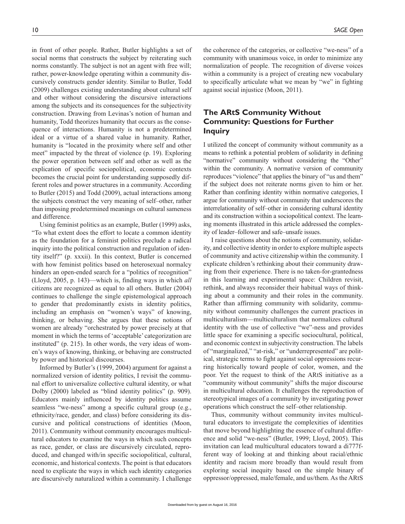in front of other people. Rather, Butler highlights a set of social norms that constructs the subject by reiterating such norms constantly. The subject is not an agent with free will; rather, power-knowledge operating within a community discursively constructs gender identity. Similar to Butler, Todd (2009) challenges existing understanding about cultural self and other without considering the discursive interactions among the subjects and its consequences for the subjectivity construction. Drawing from Levinas's notion of human and humanity, Todd theorizes humanity that occurs as the consequence of interactions. Humanity is not a predetermined ideal or a virtue of a shared value in humanity. Rather, humanity is "located in the proximity where self and other meet" impacted by the threat of violence (p. 19). Exploring the power operation between self and other as well as the explication of specific sociopolitical, economic contexts becomes the crucial point for understanding supposedly different roles and power structures in a community. According to Butler (2015) and Todd (2009), actual interactions among the subjects construct the very meaning of self–other, rather than imposing predetermined meanings on cultural sameness and difference.

Using feminist politics as an example, Butler (1999) asks, "To what extent does the effort to locate a common identity as the foundation for a feminist politics preclude a radical inquiry into the political construction and regulation of identity itself?" (p. xxxii). In this context, Butler is concerned with how feminist politics based on heterosexual normalcy hinders an open-ended search for a "politics of recognition" (Lloyd, 2005, p. 143)—which is, finding ways in which *all* citizens are recognized as equal to all others. Butler (2004) continues to challenge the single epistemological approach to gender that predominantly exists in identity politics, including an emphasis on "women's ways" of knowing, thinking, or behaving. She argues that these notions of women are already "orchestrated by power precisely at that moment in which the terms of 'acceptable' categorization are instituted" (p. 215). In other words, the very ideas of women's ways of knowing, thinking, or behaving are constructed by power and historical discourses.

Informed by Butler's (1999, 2004) argument for against a normalized version of identity politics, I revisit the communal effort to universalize collective cultural identity, or what Dolby (2000) labeled as "blind identity politics" (p. 909). Educators mainly influenced by identity politics assume seamless "we-ness" among a specific cultural group (e.g., ethnicity/race, gender, and class) before considering its discursive and political constructions of identities (Moon, 2011). Community without community encourages multicultural educators to examine the ways in which such concepts as race, gender, or class are discursively circulated, reproduced, and changed with/in specific sociopolitical, cultural, economic, and historical contexts. The point is that educators need to explicate the ways in which such identity categories are discursively naturalized within a community. I challenge

the coherence of the categories, or collective "we-ness" of a community with unanimous voice, in order to minimize any normalization of people. The recognition of diverse voices within a community is a project of creating new vocabulary to specifically articulate what we mean by "we" in fighting against social injustice (Moon, 2011).

# **The ARtS Community Without Community: Questions for Further Inquiry**

I utilized the concept of community without community as a means to rethink a potential problem of solidarity in defining "normative" community without considering the "Other" within the community. A normative version of community reproduces "violence" that applies the binary of "us and them" if the subject does not reiterate norms given to him or her. Rather than confining identity within normative categories, I argue for community without community that underscores the interrelationality of self–other in considering cultural identity and its construction within a sociopolitical context. The learning moments illustrated in this article addressed the complexity of leader–follower and safe–unsafe issues.

I raise questions about the notions of community, solidarity, and collective identity in order to explore multiple aspects of community and active citizenship within the community. I explicate children's rethinking about their community drawing from their experience. There is no taken-for-grantedness in this learning and experimental space: Children revisit, rethink, and always reconsider their habitual ways of thinking about a community and their roles in the community. Rather than affirming community with solidarity, community without community challenges the current practices in multiculturalism—multiculturalism that normalizes cultural identity with the use of collective "we"-ness and provides little space for examining a specific sociocultural, political, and economic context in subjectivity construction. The labels of "marginalized," "at-risk," or "underrepresented" are political, strategic terms to fight against social oppressions recurring historically toward people of color, women, and the poor. Yet the request to think of the ARtS initiative as a "community without community" shifts the major discourse in multicultural education. It challenges the reproduction of stereotypical images of a community by investigating power operations which construct the self–other relationship.

Thus, community without community invites multicultural educators to investigate the complexities of identities that move beyond highlighting the essence of cultural difference and solid "we-ness" (Butler, 1999; Lloyd, 2005). This invitation can lead multicultural educators toward a di777fferent way of looking at and thinking about racial/ethnic identity and racism more broadly than would result from exploring social inequity based on the simple binary of oppressor/oppressed, male/female, and us/them. As the ARtS